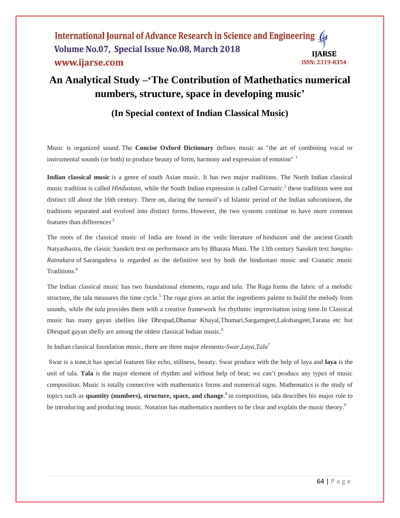#### International Journal of Advance Research in Science and Engineering Volume No.07, Special Issue No.08, March 2018 **IJARSE** www.ijarse.com **ISSN: 2319-8354**

# **An Analytical Study –'The Contribution of Mathethatics numerical numbers, structure, space in developing music'**

# **(In Special context of Indian Classical Music)**

Music is organized sound. The **Concise Oxford Dictionary** defines music as "the art of combining vocal or instrumental sounds (or both) to produce beauty of form, harmony and expression of emotion"<sup>1</sup>

**Indian classical music** is a genre of south Asian music. It has two major traditions. The North Indian classical music tradition is called *Hindustani*, while the South Indian expression is called *Carnatic*. 2 these traditions were not distinct till about the 16th century. There on, during the turmoil's of Islamic period of the Indian subcontinent, the traditions separated and evolved into distinct forms. However, the two systems continue to have more common features than differences.3

The roots of the classical music of India are found in the vedic literature of hinduism and the ancient Granth Natyashastra, the classic Sanskrit text on performance arts by Bharata Muni. The 13th century Sanskrit text *Sangita-Ratnakara* of Sarangadeva is regarded as the definitive text by both the hindustani music and Cranatic music Traditions.<sup>4</sup>

The Indian classical music has two foundational elements, *raga* and *tala*. The Raga forms the fabric of a melodic structure, the tala measures the time cycle.<sup>5</sup> The *raga* gives an artist the ingredients palette to build the melody from sounds, while the *tala* provides them with a creative framework for rhythmic improvisation using time.In Classical music has many gayan shellies like Dhrupad,Dhamar Khayal,Thumari,Sargamgeet,Lakshangeet,Tarana etc but Dhrupad gayan shelly are among the oldest classical Indian music.<sup>6</sup>

In Indian classical foundation music, there are three major elements-*Swar,Laya,Tala 7*

Swar is a tone,it has special features like echo, stillness, beauty. Swar produce with the help of laya and **laya** is the unit of tala. **Tala** is the major element of rhythm and without help of beat; we can't produce any types of music composition. Music is totally connective with mathematics forms and numerical signs. Mathematics is the study of topics such as **quantity (numbers), structure, space, and change**. 8 in composition, tala describes his major role to be introducing and producing music. Notation has mathematics numbers to be clear and explain the music theory.<sup>9</sup>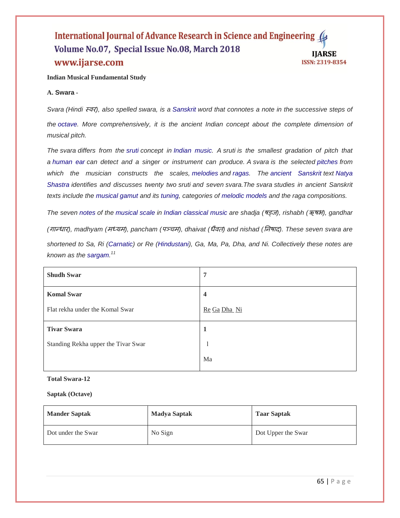#### International Journal of Advance Research in Science and Engineering Volume No.07, Special Issue No.08, March 2018 **IJARSE** www.ijarse.com ISSN: 2319-8354

#### **Indian Musical Fundamental Study**

#### **A. Swara -**

*Svara (Hindi* स्वर*), also spelled swara, is a [Sanskrit](https://en.wikipedia.org/wiki/Sanskrit) word that connotes a note in the successive steps of the [octave.](https://en.wikipedia.org/wiki/Octave) More comprehensively, it is the ancient Indian concept about the complete dimension of musical pitch.* 

*The svara differs from the [sruti](https://en.wikipedia.org/wiki/Sruti_(music)) concept in [Indian music.](https://en.wikipedia.org/wiki/Indian_music) A sruti is the smallest gradation of pitch that a [human ear](https://en.wikipedia.org/wiki/Human_ear) can detect and a singer or instrument can produce. A svara is the selected [pitches](https://en.wikipedia.org/wiki/Pitch_(music)) from which the musician constructs the scales, [melodies](https://en.wikipedia.org/wiki/Melody) and [ragas.](https://en.wikipedia.org/wiki/Raga) The [ancient Sanskrit](https://en.wikipedia.org/wiki/Ancient_Sanskrit) text [Natya](https://en.wikipedia.org/wiki/Natya_Shastra)  [Shastra](https://en.wikipedia.org/wiki/Natya_Shastra) identifies and discusses twenty two sruti and seven svara.The svara studies in ancient Sanskrit texts include the [musical gamut](https://en.wikipedia.org/wiki/Gamut_(music)) and its [tuning,](https://en.wikipedia.org/wiki/Musical_tuning) categories of [melodic models](https://en.wikipedia.org/wiki/Melodic_model) and the raga compositions.* 

*The seven [notes](https://en.wikipedia.org/wiki/Musical_notes) of the [musical scale](https://en.wikipedia.org/wiki/Musical_scale) in [Indian classical music](https://en.wikipedia.org/wiki/Indian_classical_music) are shadja (*षड्ज*), rishabh (*ऋषभ*), gandhar (*गान्धार*), madhyam (*मध्यम*), pancham (*ऩञ्चम*), dhaivat (*धवै <sup>त</sup>*) and nishad (*ननषाद*). These seven svara are* 

*shortened to Sa, Ri [\(Carnatic\)](https://en.wikipedia.org/wiki/Carnatic_music) or Re [\(Hindustani\)](https://en.wikipedia.org/wiki/Hindustani_classical_music), Ga, Ma, Pa, Dha, and Ni. Collectively these notes are known as the [sargam.](https://en.wikipedia.org/wiki/Sargam_(music)) 11*

| <b>Shudh Swar</b>                   | 7                       |
|-------------------------------------|-------------------------|
| <b>Komal Swar</b>                   | $\overline{\mathbf{4}}$ |
| Flat rekha under the Komal Swar     | Re Ga Dha Ni            |
| <b>Tivar Swara</b>                  | 1                       |
| Standing Rekha upper the Tivar Swar |                         |
|                                     | Ma                      |

#### **Total Swara-12**

#### **Saptak (Octave)**

| <b>Mander Saptak</b> | <b>Madya Saptak</b> | <b>Taar Saptak</b> |
|----------------------|---------------------|--------------------|
| Dot under the Swar   | No Sign             | Dot Upper the Swar |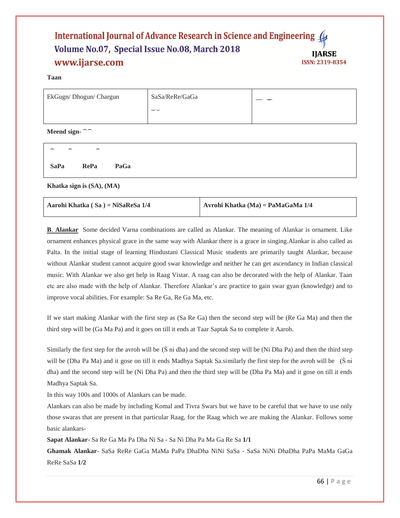#### International Journal of Advance Research in Science and Engineering Volume No.07, Special Issue No.08, March 2018 **IJARSE** www.ijarse.com **ISSN: 2319-8354**

#### **Taan**

| EkGugn/Dhogun/Chargun | SaSa/ReRe/GaGa           | سا ست |
|-----------------------|--------------------------|-------|
|                       | $\overline{\phantom{a}}$ |       |
|                       |                          |       |

**Meend sign- ͡͡**

| Aarohi Khatka $(Sa) = NiSaResa 1/4$ | Avrohi Khatka (Ma) = PaMaGaMa $1/4$ |
|-------------------------------------|-------------------------------------|
|-------------------------------------|-------------------------------------|

**B**. **Alankar** Some decided Varna combinations are called as Alankar. The meaning of Alankar is ornament. Like ornament enhances physical grace in the same way with Alankar there is a grace in singing.Alankar is also called as Palta. In the initial stage of learning Hindustani Classical Music students are primarily taught Alankar, because without Alankar student cannot acquire good swar knowledge and neither he can get ascendancy in Indian classical music. With Alankar we also get help in Raag Vistar. A raag can also be decorated with the help of Alankar. Taan etc are also made with the help of Alankar. Therefore Alankar's are practice to gain swar gyan (knowledge) and to improve vocal abilities. For example: Sa Re Ga, Re Ga Ma, etc.

If we start making Alankar with the first step as (Sa Re Ga) then the second step will be (Re Ga Ma) and then the third step will be (Ga Ma Pa) and it goes on till it ends at Taar Saptak Sa to complete it Aaroh.

Similarly the first step for the avroh will be  $(S \nmid dha)$  and the second step will be  $(Ni)$  Dha Pa) and then the third step will be (Dha Pa Ma) and it gose on till it ends Madhya Saptak Sa.similarly the first step for the avroh will be (S ni dha) and the second step will be (Ni Dha Pa) and then the third step will be (Dha Pa Ma) and it gose on till it ends Madhya Saptak Sa.

In this way 100s and 1000s of Alankars can be made.

Alankars can also be made by including Komal and Tivra Swars but we have to be careful that we have to use only those swaras that are present in that particular Raag, for the Raag which we are making the Alankar. Follows some basic alankars-

**Sapat Alankar**- Sa Re Ga Ma Pa Dha Ni Sa - Sa Ni Dha Pa Ma Ga Re Sa **1/1**

**Ghamak Alankar**- SaSa ReRe GaGa MaMa PaPa DhaDha NiNi SaSa - SaSa NiNi DhaDha PaPa MaMa GaGa ReRe SaSa **1/2**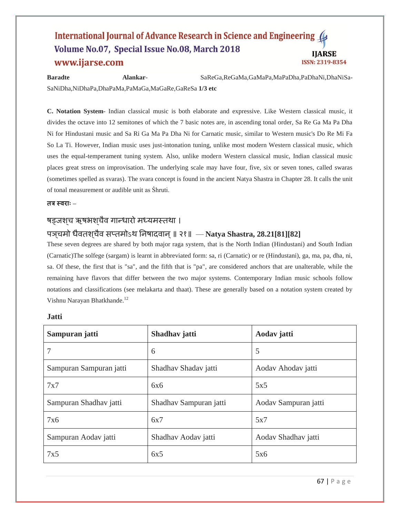#### International Journal of Advance Research in Science and Engineering 4 Volume No.07, Special Issue No.08, March 2018 **IJARSE** www.ijarse.com ISSN: 2319-8354

**Baradte Alankar**- SaReGa,ReGaMa,GaMaPa,MaPaDha,PaDhaNi,DhaNiSa-SaNiDha,NiDhaPa,DhaPaMa,PaMaGa,MaGaRe,GaReSa **1/3 etc**

**C. Notation System**- Indian classical music is both elaborate and expressive. Like Western classical music, it divides the octave into 12 semitones of which the 7 basic notes are, in ascending tonal order, Sa Re Ga Ma Pa Dha Ni for Hindustani music and Sa Ri Ga Ma Pa Dha Ni for Carnatic music, similar to Western music's Do Re Mi Fa So La Ti. However, Indian music uses just-intonation tuning, unlike most modern Western classical music, which uses the equal-temperament tuning system. Also, unlike modern Western classical music, Indian classical music places great stress on improvisation. The underlying scale may have four, five, six or seven tones, called swaras (sometimes spelled as svaras). The svara concept is found in the ancient Natya Shastra in Chapter 28. It calls the unit of tonal measurement or audible unit as Śhruti.

#### **तत्र स्वर ाः –**

## षड्जशच ऋषभशचैव गान्धारो मध्यमस्तथा ।

# पञ्**चमो धैवतश्**चैव सप्तमोऽथ निषादवान् ॥ २१॥ — **Natya Shastra, 28.21[81][82**]

These seven degrees are shared by both major raga system, that is the North Indian (Hindustani) and South Indian (Carnatic)The solfege (sargam) is learnt in abbreviated form: sa, ri (Carnatic) or re (Hindustani), ga, ma, pa, dha, ni, sa. Of these, the first that is "sa", and the fifth that is "pa", are considered anchors that are unalterable, while the remaining have flavors that differ between the two major systems. Contemporary Indian music schools follow notations and classifications (see melakarta and thaat). These are generally based on a notation system created by Vishnu Narayan Bhatkhande.<sup>12</sup>

| Sampuran jatti          | Shadhav jatti          | Aodav jatti          |
|-------------------------|------------------------|----------------------|
| 7                       | 6                      | 5                    |
| Sampuran Sampuran jatti | Shadhav Shadav jatti   | Aodav Ahodav jatti   |
| 7x7                     | 6x6                    | 5x5                  |
| Sampuran Shadhav jatti  | Shadhav Sampuran jatti | Aodav Sampuran jatti |
| 7x6                     | 6x7                    | 5x7                  |
| Sampuran Aodav jatti    | Shadhav Aodav jatti    | Aodav Shadhav jatti  |
| 7x5                     | 6x5                    | 5x6                  |

#### **Jatti**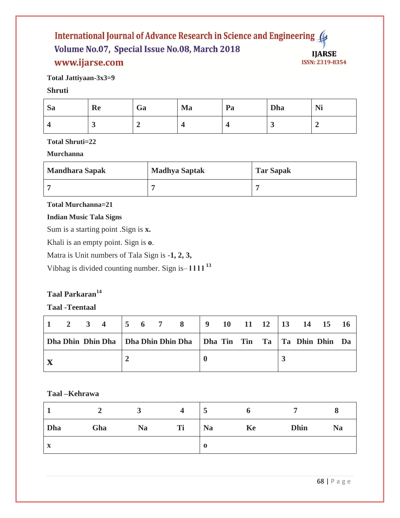#### International Journal of Advance Research in Science and Engineering ( Volume No.07, Special Issue No.08, March 2018 **IJARSE** www.ijarse.com ISSN: 2319-8354

**Total Jattiyaan-3x3=9**

## **Shruti**

| <b>Sa</b> | Re | Ga | Ma | Pa | Dha | Ni |
|-----------|----|----|----|----|-----|----|
|           |    |    |    |    | ູ   |    |

## **Total Shruti=22**

## **Murchanna**

| <b>Mandhara Sapak</b> | <b>Madhya Saptak</b> | <b>Tar Sapak</b> |
|-----------------------|----------------------|------------------|
|                       |                      |                  |

## **Total Murchanna=21**

## **Indian Music Tala Signs**

Sum is a starting point .Sign is **x.**

Khali is an empty point. Sign is **o**.

Matra is Unit numbers of Tala Sign is -**1, 2, 3,**

Vibhag is divided counting number. Sign is– **ӏ ӏ ӏ ӏ <sup>13</sup>**

# **Taal Parkaran<sup>14</sup>**

## **Taal -Teentaal**

|  | Dha Dhin Dhin Dha   Dha Dhin Dhin Dha   Dha Tin Tin Ta   Ta Dhin Dhin Da |  |
|--|--------------------------------------------------------------------------|--|
|  |                                                                          |  |

## **Taal –Kehrawa**

|              |     |           | 4  | ◡         |    |             |           |
|--------------|-----|-----------|----|-----------|----|-------------|-----------|
| Dha          | Gha | <b>Na</b> | Ti | <b>Na</b> | Ke | <b>Dhin</b> | <b>Na</b> |
| $\mathbf{X}$ |     |           |    | $\bf{0}$  |    |             |           |